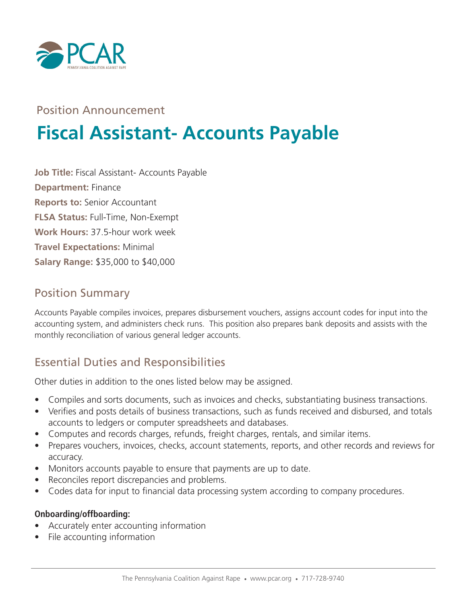

# Position Announcement

# **Fiscal Assistant- Accounts Payable**

**Job Title:** Fiscal Assistant- Accounts Payable **Department:** Finance **Reports to:** Senior Accountant **FLSA Status:** Full-Time, Non-Exempt **Work Hours:** 37.5-hour work week **Travel Expectations:** Minimal **Salary Range:** \$35,000 to \$40,000

## Position Summary

Accounts Payable compiles invoices, prepares disbursement vouchers, assigns account codes for input into the accounting system, and administers check runs. This position also prepares bank deposits and assists with the monthly reconciliation of various general ledger accounts.

# Essential Duties and Responsibilities

Other duties in addition to the ones listed below may be assigned.

- Compiles and sorts documents, such as invoices and checks, substantiating business transactions.
- Verifies and posts details of business transactions, such as funds received and disbursed, and totals accounts to ledgers or computer spreadsheets and databases.
- Computes and records charges, refunds, freight charges, rentals, and similar items.
- Prepares vouchers, invoices, checks, account statements, reports, and other records and reviews for accuracy.
- Monitors accounts payable to ensure that payments are up to date.
- Reconciles report discrepancies and problems.
- Codes data for input to financial data processing system according to company procedures.

#### **Onboarding/offboarding:**

- Accurately enter accounting information
- File accounting information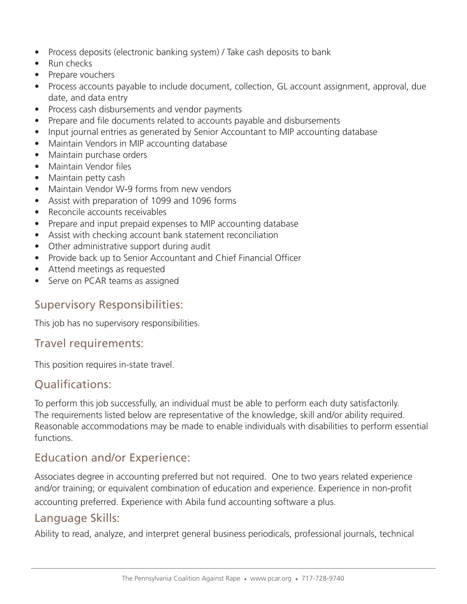- Process deposits (electronic banking system) / Take cash deposits to bank
- Run checks
- Prepare vouchers
- Process accounts payable to include document, collection, GL account assignment, approval, due date, and data entry
- Process cash disbursements and vendor payments
- Prepare and file documents related to accounts payable and disbursements
- Input journal entries as generated by Senior Accountant to MIP accounting database
- Maintain Vendors in MIP accounting database
- Maintain purchase orders
- Maintain Vendor files
- Maintain petty cash
- Maintain Vendor W-9 forms from new vendors
- Assist with preparation of 1099 and 1096 forms
- Reconcile accounts receivables
- Prepare and input prepaid expenses to MIP accounting database
- Assist with checking account bank statement reconciliation
- Other administrative support during audit
- Provide back up to Senior Accountant and Chief Financial Officer
- Attend meetings as requested
- Serve on PCAR teams as assigned

#### Supervisory Responsibilities:

This job has no supervisory responsibilities.

#### Travel requirements:

This position requires in-state travel.

## Qualifications:

To perform this job successfully, an individual must be able to perform each duty satisfactorily. The requirements listed below are representative of the knowledge, skill and/or ability required. Reasonable accommodations may be made to enable individuals with disabilities to perform essential functions.

## Education and/or Experience:

Associates degree in accounting preferred but not required. One to two years related experience and/or training; or equivalent combination of education and experience. Experience in non-profit accounting preferred. Experience with Abila fund accounting software a plus.

## Language Skills:

Ability to read, analyze, and interpret general business periodicals, professional journals, technical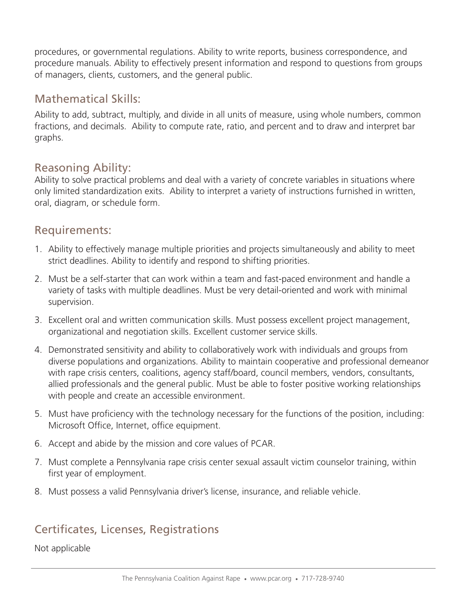procedures, or governmental regulations. Ability to write reports, business correspondence, and procedure manuals. Ability to effectively present information and respond to questions from groups of managers, clients, customers, and the general public.

#### Mathematical Skills:

Ability to add, subtract, multiply, and divide in all units of measure, using whole numbers, common fractions, and decimals. Ability to compute rate, ratio, and percent and to draw and interpret bar graphs.

#### Reasoning Ability:

Ability to solve practical problems and deal with a variety of concrete variables in situations where only limited standardization exits. Ability to interpret a variety of instructions furnished in written, oral, diagram, or schedule form.

#### Requirements:

- 1. Ability to effectively manage multiple priorities and projects simultaneously and ability to meet strict deadlines. Ability to identify and respond to shifting priorities.
- 2. Must be a self-starter that can work within a team and fast-paced environment and handle a variety of tasks with multiple deadlines. Must be very detail-oriented and work with minimal supervision.
- 3. Excellent oral and written communication skills. Must possess excellent project management, organizational and negotiation skills. Excellent customer service skills.
- 4. Demonstrated sensitivity and ability to collaboratively work with individuals and groups from diverse populations and organizations. Ability to maintain cooperative and professional demeanor with rape crisis centers, coalitions, agency staff/board, council members, vendors, consultants, allied professionals and the general public. Must be able to foster positive working relationships with people and create an accessible environment.
- 5. Must have proficiency with the technology necessary for the functions of the position, including: Microsoft Office, Internet, office equipment.
- 6. Accept and abide by the mission and core values of PCAR.
- 7. Must complete a Pennsylvania rape crisis center sexual assault victim counselor training, within first year of employment.
- 8. Must possess a valid Pennsylvania driver's license, insurance, and reliable vehicle.

# Certificates, Licenses, Registrations

Not applicable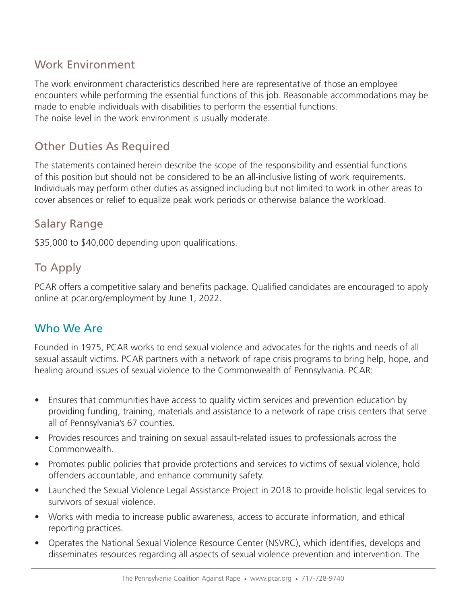# Work Environment

The work environment characteristics described here are representative of those an employee encounters while performing the essential functions of this job. Reasonable accommodations may be made to enable individuals with disabilities to perform the essential functions. The noise level in the work environment is usually moderate.

# Other Duties As Required

The statements contained herein describe the scope of the responsibility and essential functions of this position but should not be considered to be an all-inclusive listing of work requirements. Individuals may perform other duties as assigned including but not limited to work in other areas to cover absences or relief to equalize peak work periods or otherwise balance the workload.

# Salary Range

\$35,000 to \$40,000 depending upon qualifications.

# To Apply

PCAR offers a competitive salary and benefits package. Qualified candidates are encouraged to apply online at pcar.org/employment by June 1, 2022.

# Who We Are

Founded in 1975, PCAR works to end sexual violence and advocates for the rights and needs of all sexual assault victims. PCAR partners with a network of rape crisis programs to bring help, hope, and healing around issues of sexual violence to the Commonwealth of Pennsylvania. PCAR:

- Ensures that communities have access to quality victim services and prevention education by providing funding, training, materials and assistance to a network of rape crisis centers that serve all of Pennsylvania's 67 counties.
- Provides resources and training on sexual assault-related issues to professionals across the Commonwealth.
- Promotes public policies that provide protections and services to victims of sexual violence, hold offenders accountable, and enhance community safety.
- Launched the Sexual Violence Legal Assistance Project in 2018 to provide holistic legal services to survivors of sexual violence.
- Works with media to increase public awareness, access to accurate information, and ethical reporting practices.
- Operates the National Sexual Violence Resource Center (NSVRC), which identifies, develops and disseminates resources regarding all aspects of sexual violence prevention and intervention. The